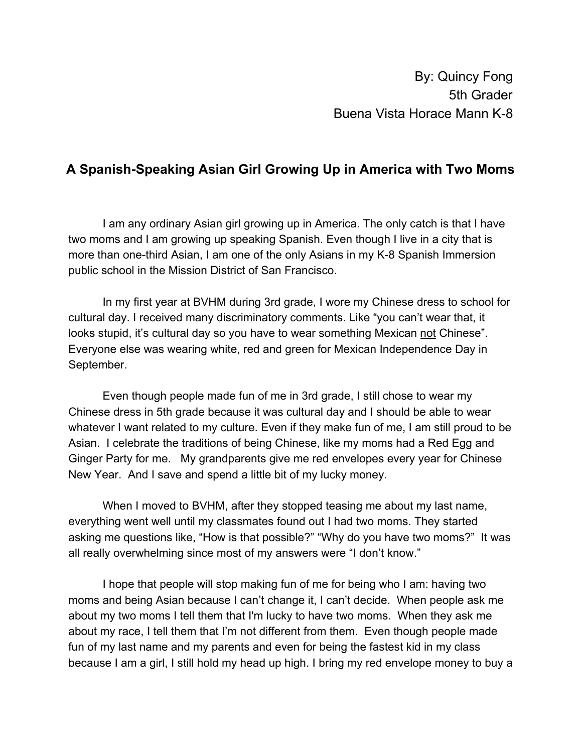## **A Spanish-Speaking Asian Girl Growing Up in America with Two Moms**

I am any ordinary Asian girl growing up in America. The only catch is that I have two moms and I am growing up speaking Spanish. Even though I live in a city that is more than one-third Asian, I am one of the only Asians in my K-8 Spanish Immersion public school in the Mission District of San Francisco.

In my first year at BVHM during 3rd grade, I wore my Chinese dress to school for cultural day. I received many discriminatory comments. Like "you can't wear that, it looks stupid, it's cultural day so you have to wear something Mexican not Chinese". Everyone else was wearing white, red and green for Mexican Independence Day in September.

Even though people made fun of me in 3rd grade, I still chose to wear my Chinese dress in 5th grade because it was cultural day and I should be able to wear whatever I want related to my culture. Even if they make fun of me, I am still proud to be Asian. I celebrate the traditions of being Chinese, like my moms had a Red Egg and Ginger Party for me. My grandparents give me red envelopes every year for Chinese New Year. And I save and spend a little bit of my lucky money.

When I moved to BVHM, after they stopped teasing me about my last name, everything went well until my classmates found out I had two moms. They started asking me questions like, "How is that possible?" "Why do you have two moms?" It was all really overwhelming since most of my answers were "I don't know."

I hope that people will stop making fun of me for being who I am: having two moms and being Asian because I can't change it, I can't decide. When people ask me about my two moms I tell them that I'm lucky to have two moms. When they ask me about my race, I tell them that I'm not different from them. Even though people made fun of my last name and my parents and even for being the fastest kid in my class because I am a girl, I still hold my head up high. I bring my red envelope money to buy a